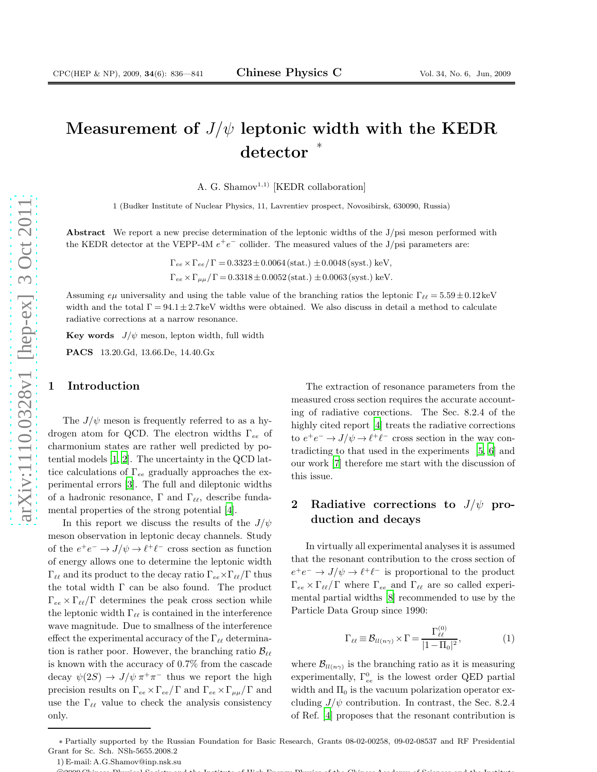# Measurement of  $J/\psi$  leptonic width with the KEDR detector \*

A. G. Shamov<sup>1,1)</sup> [KEDR collaboration]

1 (Budker Institute of Nuclear Physics, 11, Lavrentiev prospect, Novosibirsk, 630090, Russia)

Abstract We report a new precise determination of the leptonic widths of the  $J/psi$  meson performed with the KEDR detector at the VEPP-4M  $e^+e^-$  collider. The measured values of the J/psi parameters are:

> $\Gamma_{ee} \times \Gamma_{ee} / \Gamma = 0.3323 \pm 0.0064 \, (\text{stat.}) \pm 0.0048 \, (\text{syst.}) \, \text{keV},$  $\Gamma_{ee} \times \Gamma_{\mu\mu}/\Gamma = 0.3318 \pm 0.0052 \, (\text{stat.}) \pm 0.0063 \, (\text{syst.}) \, \text{keV.}$

Assuming  $e\mu$  universality and using the table value of the branching ratios the leptonic  $\Gamma_{\ell\ell} = 5.59 \pm 0.12 \text{ keV}$ width and the total  $\Gamma = 94.1 \pm 2.7$  keV widths were obtained. We also discuss in detail a method to calculate radiative corrections at a narrow resonance.

Key words  $J/\psi$  meson, lepton width, full width

PACS 13.20.Gd, 13.66.De, 14.40.Gx

### 1 Introduction

The  $J/\psi$  meson is frequently referred to as a hydrogen atom for QCD. The electron widths  $\Gamma_{ee}$  of charmonium states are rather well predicted by potential models [\[1](#page-5-0), [2\]](#page-5-1). The uncertainty in the QCD lattice calculations of  $\Gamma_{ee}$  gradually approaches the experimental errors [\[3\]](#page-5-2). The full and dileptonic widths of a hadronic resonance,  $\Gamma$  and  $\Gamma_{\ell\ell}$ , describe fundamental properties of the strong potential [\[4\]](#page-5-3).

In this report we discuss the results of the  $J/\psi$ meson observation in leptonic decay channels. Study of the  $e^+e^- \to J/\psi \to \ell^+\ell^-$  cross section as function of energy allows one to determine the leptonic width  $\Gamma_{\ell\ell}$  and its product to the decay ratio  $\Gamma_{ee} \times \Gamma_{\ell\ell}/\Gamma$  thus the total width  $\Gamma$  can be also found. The product  $\Gamma_{ee} \times \Gamma_{\ell\ell}/\Gamma$  determines the peak cross section while the leptonic width  $\Gamma_{\ell\ell}$  is contained in the interference wave magnitude. Due to smallness of the interference effect the experimental accuracy of the  $\Gamma_{\ell\ell}$  determination is rather poor. However, the branching ratio  $\mathcal{B}_{\ell\ell}$ is known with the accuracy of 0.7% from the cascade decay  $\psi(2S) \to J/\psi \pi^+ \pi^-$  thus we report the high precision results on  $\Gamma_{ee} \times \Gamma_{ee} / \Gamma$  and  $\Gamma_{ee} \times \Gamma_{\mu\mu} / \Gamma$  and use the  $\Gamma_{\ell\ell}$  value to check the analysis consistency only.

The extraction of resonance parameters from the measured cross section requires the accurate accounting of radiative corrections. The Sec. 8.2.4 of the highly cited report [\[4\]](#page-5-3) treats the radiative corrections to  $e^+e^- \to J/\psi \to \ell^+\ell^-$  cross section in the way contradicting to that used in the experiments [\[5,](#page-5-4) [6\]](#page-5-5) and our work [\[7\]](#page-5-6) therefore me start with the discussion of this issue.

# 2 Radiative corrections to  $J/\psi$  production and decays

In virtually all experimental analyses it is assumed that the resonant contribution to the cross section of  $e^+e^- \to J/\psi \to \ell^+\ell^-$  is proportional to the product  $\Gamma_{ee} \times \Gamma_{\ell\ell}/\Gamma$  where  $\Gamma_{ee}$  and  $\Gamma_{\ell\ell}$  are so called experimental partial widths [\[8](#page-5-7)] recommended to use by the Particle Data Group since 1990:

$$
\Gamma_{\ell\ell} \equiv \mathcal{B}_{\ell\ell(n\gamma)} \times \Gamma = \frac{\Gamma_{\ell\ell}^{(0)}}{|1 - \Pi_0|^2},\tag{1}
$$

where  $\mathcal{B}_{ll(n\gamma)}$  is the branching ratio as it is measuring experimentally,  $\Gamma^0_{ee}$  is the lowest order QED partial width and  $\Pi_0$  is the vacuum polarization operator excluding  $J/\psi$  contribution. In contrast, the Sec. 8.2.4 of Ref. [\[4\]](#page-5-3) proposes that the resonant contribution is

<sup>∗</sup> Partially supported by the Russian Foundation for Basic Research, Grants 08-02-00258, 09-02-08537 and RF Presidentia l Grant for Sc. Sch. NSh-5655.2008.2

<sup>1)</sup> E-mail: A.G.Shamov@inp.nsk.su

<sup>c</sup> 2009 Chinese Physical Society and the Institute of High Energy Physics of the Chinese Academy of Sciences and the Institute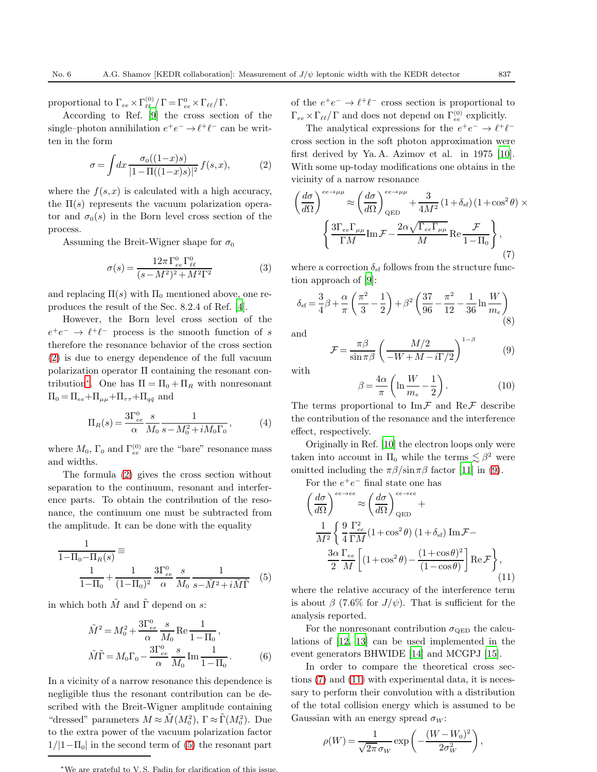proportional to  $\Gamma_{ee} \times \Gamma_{\ell\ell}^{(0)}/\Gamma = \Gamma_{ee}^0 \times \Gamma_{\ell\ell}/\Gamma$ .

According to Ref. [\[9](#page-5-8)] the cross section of the single–photon annihilation  $e^+e^-\rightarrow \ell^+\ell^-$  can be written in the form

<span id="page-1-0"></span>
$$
\sigma = \int dx \frac{\sigma_0((1-x)s)}{|1-\Pi((1-x)s)|^2} f(s,x),\tag{2}
$$

where the  $f(s,x)$  is calculated with a high accuracy, the  $\Pi(s)$  represents the vacuum polarization operator and  $\sigma_0(s)$  in the Born level cross section of the process.

Assuming the Breit-Wigner shape for  $\sigma_0$ 

$$
\sigma(s) = \frac{12\pi \Gamma_{ee}^0 \Gamma_{\ell\ell}^0}{(s - M^2)^2 + M^2 \Gamma^2}
$$
(3)

and replacing  $\Pi(s)$  with  $\Pi_0$  mentioned above, one reproduces the result of the Sec. 8.2.4 of Ref. [\[4\]](#page-5-3).

However, the Born level cross section of the  $e^+e^- \rightarrow \ell^+\ell^-$  process is the smooth function of s therefore the resonance behavior of the cross section [\(2\)](#page-1-0) is due to energy dependence of the full vacuum polarization operator Π containing the resonant con-tribution<sup>[∗](#page-1-1)</sup>. One has  $\Pi = \Pi_0 + \Pi_R$  with nonresonant  $\Pi_0 = \Pi_{ee} + \Pi_{\mu\mu} + \Pi_{\tau\tau} + \Pi_{q\bar{q}}$  and

$$
\Pi_R(s) = \frac{3\Gamma_{ee}^0}{\alpha} \frac{s}{M_0} \frac{1}{s - M_0^2 + iM_0\Gamma_0},\tag{4}
$$

where  $M_0$ ,  $\Gamma_0$  and  $\Gamma_{ee}^{(0)}$  are the "bare" resonance mass and widths.

The formula [\(2\)](#page-1-0) gives the cross section without separation to the continuum, resonant and interference parts. To obtain the contribution of the resonance, the continuum one must be subtracted from the amplitude. It can be done with the equality

<span id="page-1-2"></span>
$$
\frac{1}{1 - \Pi_0 - \Pi_R(s)} \equiv \frac{1}{1 - \Pi_0} + \frac{1}{(1 - \Pi_0)^2} \frac{3\Gamma_{ee}^0}{\alpha} \frac{s}{M_0} \frac{1}{s - \tilde{M}^2 + i\tilde{M}\tilde{\Gamma}} \tag{5}
$$

in which both  $\tilde{M}$  and  $\tilde{\Gamma}$  depend on s:

$$
\tilde{M}^2 = M_0^2 + \frac{3\Gamma_{ee}^0}{\alpha} \frac{s}{M_0} \text{Re} \frac{1}{1 - \Pi_0},
$$
  

$$
\tilde{M}\tilde{\Gamma} = M_0 \Gamma_0 - \frac{3\Gamma_{ee}^0}{\alpha} \frac{s}{M_0} \text{Im} \frac{1}{1 - \Pi_0}.
$$
 (6)

In a vicinity of a narrow resonance this dependence is negligible thus the resonant contribution can be described with the Breit-Wigner amplitude containing "dressed" parameters  $M \approx \tilde{M}(M_0^2)$ ,  $\Gamma \approx \tilde{\Gamma}(M_0^2)$ . Due to the extra power of the vacuum polarization factor  $1/|1-\Pi_0|$  in the second term of [\(5\)](#page-1-2) the resonant part of the  $e^+e^- \rightarrow \ell^+\ell^-$  cross section is proportional to  $\Gamma_{ee} \times \Gamma_{\ell\ell}/\Gamma$  and does not depend on  $\Gamma_{ee}^{(0)}$  explicitly.

The analytical expressions for the  $e^+e^-\to \ell^+\ell^$ cross section in the soft photon approximation were first derived by Ya. A. Azimov et al. in 1975 [\[10\]](#page-5-9). With some up-today modifications one obtains in the vicinity of a narrow resonance

<span id="page-1-4"></span>
$$
\left(\frac{d\sigma}{d\Omega}\right)^{ee \to \mu\mu} \approx \left(\frac{d\sigma}{d\Omega}\right)^{ee \to \mu\mu}_{\text{QED}} + \frac{3}{4M^2} \left(1 + \delta_{\text{sf}}\right) \left(1 + \cos^2\theta\right) \times \left\{\frac{3\Gamma_{ee}\Gamma_{\mu\mu}}{\Gamma M} \text{Im}\,\mathcal{F} - \frac{2\alpha\sqrt{\Gamma_{ee}\Gamma_{\mu\mu}}}{M} \text{Re}\,\frac{\mathcal{F}}{1 - \Pi_0}\right\},\tag{7}
$$

where a correction  $\delta_{\rm sf}$  follows from the structure function approach of [\[9](#page-5-8)]:

$$
\delta_{\rm sf} = \frac{3}{4}\beta + \frac{\alpha}{\pi} \left(\frac{\pi^2}{3} - \frac{1}{2}\right) + \beta^2 \left(\frac{37}{96} - \frac{\pi^2}{12} - \frac{1}{36} \ln \frac{W}{m_e}\right) \tag{8}
$$

and

<span id="page-1-3"></span>
$$
\mathcal{F} = \frac{\pi \beta}{\sin \pi \beta} \left( \frac{M/2}{-W + M - i\Gamma/2} \right)^{1-\beta} \tag{9}
$$

with

$$
\beta = \frac{4\alpha}{\pi} \left( \ln \frac{W}{m_e} - \frac{1}{2} \right). \tag{10}
$$

The terms proportional to  $\text{Im}\,\mathcal{F}$  and  $\text{Re}\,\mathcal{F}$  describe the contribution of the resonance and the interference effect, respectively.

Originally in Ref. [\[10\]](#page-5-9) the electron loops only were taken into account in  $\Pi_0$  while the terms  $\lesssim \beta^2$  were omitted including the  $\pi\beta/\sin(\pi\beta)$  factor [\[11\]](#page-5-10) in [\(9\)](#page-1-3).

For the  $e^+e^-$  final state one has

<span id="page-1-5"></span>
$$
\left(\frac{d\sigma}{d\Omega}\right)^{ee \to ee} \approx \left(\frac{d\sigma}{d\Omega}\right)^{ee \to ee}_{\text{QED}} +
$$
\n
$$
\frac{1}{M^2} \left\{\frac{9}{4} \frac{\Gamma_{ee}^2}{\Gamma M} (1 + \cos^2 \theta) (1 + \delta_{\text{sf}}) \operatorname{Im} \mathcal{F} - \frac{3\alpha}{2} \frac{\Gamma_{ee}}{M} \left[ (1 + \cos^2 \theta) - \frac{(1 + \cos \theta)^2}{(1 - \cos \theta)} \right] \operatorname{Re} \mathcal{F} \right\},\tag{11}
$$

where the relative accuracy of the interference term is about  $\beta$  (7.6% for  $J/\psi$ ). That is sufficient for the analysis reported.

For the nonresonant contribution  $\sigma_{\text{QED}}$  the calculations of [\[12,](#page-5-11) [13](#page-5-12)] can be used implemented in the event generators BHWIDE [\[14](#page-5-13)] and MCGPJ [\[15\]](#page-5-14).

In order to compare the theoretical cross sections [\(7\)](#page-1-4) and [\(11\)](#page-1-5) with experimental data, it is necessary to perform their convolution with a distribution of the total collision energy which is assumed to be Gaussian with an energy spread  $\sigma_W$ :

$$
\rho(W) = \frac{1}{\sqrt{2\pi} \,\sigma_W} \exp\left(-\frac{(W-W_0)^2}{2\sigma_W^2}\right),\,
$$

<span id="page-1-1"></span><sup>∗</sup>We are grateful to V. S. Fadin for clarification of this issue.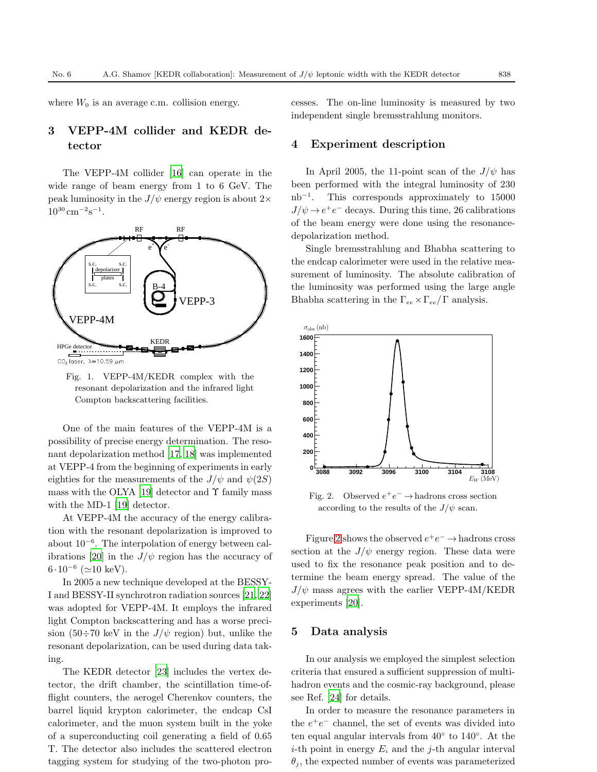where  $W_0$  is an average c.m. collision energy.

# 3 VEPP-4M collider and KEDR detector

The VEPP-4M collider [\[16](#page-5-15)] can operate in the wide range of beam energy from 1 to 6 GeV. The peak luminosity in the  $J/\psi$  energy region is about  $2\times$  $10^{30}$  cm<sup>-2</sup>s<sup>-1</sup>.



Fig. 1. VEPP-4M/KEDR complex with the resonant depolarization and the infrared light Compton backscattering facilities.

One of the main features of the VEPP-4M is a possibility of precise energy determination. The resonant depolarization method [\[17](#page-5-16), [18\]](#page-5-17) was implemented at VEPP-4 from the beginning of experiments in early eighties for the measurements of the  $J/\psi$  and  $\psi(2S)$ mass with the OLYA [\[19\]](#page-5-18) detector and  $\Upsilon$  family mass with the MD-1 [\[19](#page-5-18)] detector.

At VEPP-4M the accuracy of the energy calibration with the resonant depolarization is improved to about 10<sup>−</sup><sup>6</sup> . The interpolation of energy between cal-ibrations [\[20](#page-5-19)] in the  $J/\psi$  region has the accuracy of  $6 \cdot 10^{-6}$  ( $\simeq 10 \text{ keV}$ ).

In 2005 a new technique developed at the BESSY-I and BESSY-II synchrotron radiation sources [\[21](#page-5-20), [22](#page-5-21)] was adopted for VEPP-4M. It employs the infrared light Compton backscattering and has a worse precision (50÷70 keV in the  $J/\psi$  region) but, unlike the resonant depolarization, can be used during data taking.

The KEDR detector [\[23](#page-5-22)] includes the vertex detector, the drift chamber, the scintillation time-offlight counters, the aerogel Cherenkov counters, the barrel liquid krypton calorimeter, the endcap CsI calorimeter, and the muon system built in the yoke of a superconducting coil generating a field of 0.65 T. The detector also includes the scattered electron tagging system for studying of the two-photon processes. The on-line luminosity is measured by two independent single bremsstrahlung monitors.

### 4 Experiment description

In April 2005, the 11-point scan of the  $J/\psi$  has been performed with the integral luminosity of 230 nb<sup>−</sup><sup>1</sup> . This corresponds approximately to 15000  $J/\psi\to e^+e^-$  decays. During this time, 26 calibrations of the beam energy were done using the resonancedepolarization method.

Single bremsstrahlung and Bhabha scattering to the endcap calorimeter were used in the relative measurement of luminosity. The absolute calibration of the luminosity was performed using the large angle Bhabha scattering in the  $\Gamma_{ee} \times \Gamma_{ee}/\Gamma$  analysis.



<span id="page-2-0"></span>Fig. 2. Observed  $e^+e^- \rightarrow$  hadrons cross section according to the results of the  $J/\psi$  scan.

Figure [2](#page-2-0) shows the observed  $e^+e^- \rightarrow$  hadrons cross section at the  $J/\psi$  energy region. These data were used to fix the resonance peak position and to determine the beam energy spread. The value of the  $J/\psi$  mass agrees with the earlier VEPP-4M/KEDR experiments [\[20](#page-5-19)].

#### 5 Data analysis

In our analysis we employed the simplest selection criteria that ensured a sufficient suppression of multihadron events and the cosmic-ray background, please see Ref. [\[24\]](#page-5-23) for details.

In order to measure the resonance parameters in the  $e^+e^-$  channel, the set of events was divided into ten equal angular intervals from  $40^{\circ}$  to  $140^{\circ}$ . At the *i*-th point in energy  $E_i$  and the *j*-th angular interval  $\theta_i$ , the expected number of events was parameterized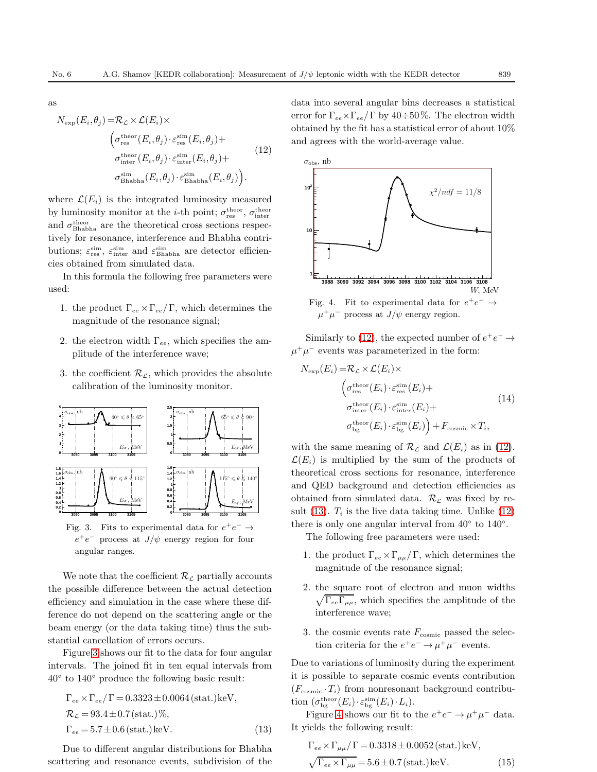as

<span id="page-3-1"></span>
$$
N_{\exp}(E_i, \theta_j) = \mathcal{R}_{\mathcal{L}} \times \mathcal{L}(E_i) \times
$$
  
\n
$$
\left(\sigma_{\mathrm{res}}^{\mathrm{theor}}(E_i, \theta_j) \cdot \varepsilon_{\mathrm{res}}^{\mathrm{sim}}(E_i, \theta_j) + \sigma_{\mathrm{inter}}^{\mathrm{theor}}(E_i, \theta_j) \cdot \varepsilon_{\mathrm{inter}}^{\mathrm{sim}}(E_i, \theta_j) + \sigma_{\mathrm{Bhabha}}^{\mathrm{sim}}(E_i, \theta_j) \cdot \varepsilon_{\mathrm{Bhabha}}^{\mathrm{sim}}(E_i, \theta_j)\right).
$$
\n(12)

where  $\mathcal{L}(E_i)$  is the integrated luminosity measured by luminosity monitor at the *i*-th point;  $\sigma_{\text{res}}^{\text{theor}}$ ,  $\sigma_{\text{inter}}^{\text{theor}}$ and  $\sigma_{\text{Bhabha}}^{\text{theor}}$  are the theoretical cross sections respectively for resonance, interference and Bhabha contributions;  $\varepsilon_{\rm res}^{\rm sim}$ ,  $\varepsilon_{\rm inter}^{\rm sim}$  and  $\varepsilon_{\rm Bhabha}^{\rm sim}$  are detector efficiencies obtained from simulated data.

In this formula the following free parameters were used:

- 1. the product  $\Gamma_{ee} \times \Gamma_{ee}/\Gamma$ , which determines the magnitude of the resonance signal;
- 2. the electron width  $\Gamma_{ee}$ , which specifies the amplitude of the interference wave;
- 3. the coefficient  $\mathcal{R}_{\mathcal{L}}$ , which provides the absolute calibration of the luminosity monitor.



<span id="page-3-0"></span>Fig. 3. Fits to experimental data for  $e^+e^- \rightarrow$  $e^+e^-$  process at  $J/\psi$  energy region for four angular ranges.

We note that the coefficient  $\mathcal{R}_{\mathcal{L}}$  partially accounts the possible difference between the actual detection efficiency and simulation in the case where these difference do not depend on the scattering angle or the beam energy (or the data taking time) thus the substantial cancellation of errors occurs.

Figure [3](#page-3-0) shows our fit to the data for four angular intervals. The joined fit in ten equal intervals from 40◦ to 140◦ produce the following basic result:

<span id="page-3-2"></span>
$$
\Gamma_{ee} \times \Gamma_{ee} / \Gamma = 0.3323 \pm 0.0064 \text{ (stat.) keV,}
$$
  
\n
$$
\mathcal{R}_\mathcal{L} = 93.4 \pm 0.7 \text{ (stat.)} \%,
$$
  
\n
$$
\Gamma_{ee} = 5.7 \pm 0.6 \text{ (stat.) keV.}
$$
\n(13)

Due to different angular distributions for Bhabha scattering and resonance events, subdivision of the data into several angular bins decreases a statistical error for  $\Gamma_{ee} \times \Gamma_{ee}/\Gamma$  by 40÷50%. The electron width obtained by the fit has a statistical error of about 10% and agrees with the world-average value.



<span id="page-3-3"></span>Fig. 4. Fit to experimental data for  $e^+e^- \rightarrow$  $\mu^+ \mu^-$  process at  $J/\psi$  energy region.

Similarly to [\(12\)](#page-3-1), the expected number of  $e^+e^-\to$  $\mu^+\mu^-$  events was parameterized in the form:

$$
N_{\exp}(E_i) = \mathcal{R}_{\mathcal{L}} \times \mathcal{L}(E_i) \times
$$
  
\n
$$
\begin{pmatrix}\n\sigma_{\mathrm{res}}^{\mathrm{theor}}(E_i) \cdot \varepsilon_{\mathrm{res}}^{\mathrm{sim}}(E_i) + \sigma_{\mathrm{inter}}^{\mathrm{theor}}(E_i) \cdot \varepsilon_{\mathrm{inter}}^{\mathrm{sim}}(E_i) + \sigma_{\mathrm{bg}}^{\mathrm{theor}}(E_i) \cdot \varepsilon_{\mathrm{bg}}^{\mathrm{sim}}(E_i) + F_{\mathrm{cosmic}} \times T_i,\n\end{pmatrix}
$$
\n(14)

with the same meaning of  $\mathcal{R}_{\mathcal{L}}$  and  $\mathcal{L}(E_i)$  as in [\(12\)](#page-3-1).  $\mathcal{L}(E_i)$  is multiplied by the sum of the products of theoretical cross sections for resonance, interference and QED background and detection efficiencies as obtained from simulated data.  $\mathcal{R}_c$  was fixed by re-sult [\(13\)](#page-3-2).  $T_i$  is the live data taking time. Unlike [\(12\)](#page-3-1) there is only one angular interval from  $40^{\circ}$  to  $140^{\circ}$ .

The following free parameters were used:

- 1. the product  $\Gamma_{ee} \times \Gamma_{\mu\mu}/\Gamma$ , which determines the magnitude of the resonance signal;
- 2. the square root of electron and muon widths  $\sqrt{\Gamma_{ee}\Gamma_{\mu\mu}}$ , which specifies the amplitude of the interference wave;
- 3. the cosmic events rate  $F_{\text{cosmic}}$  passed the selection criteria for the  $e^+e^- \rightarrow \mu^+\mu^-$  events.

Due to variations of luminosity during the experiment it is possible to separate cosmic events contribution  $(F_{\text{cosmic}} \cdot T_i)$  from nonresonant background contribution  $(\sigma_{bg}^{theor}(E_i) \cdot \varepsilon_{bg}^{sim}(E_i) \cdot L_i)$ .

Figure [4](#page-3-3) shows our fit to the  $e^+e^- \rightarrow \mu^+\mu^-$  data. It yields the following result:

<span id="page-3-4"></span>
$$
\Gamma_{ee} \times \Gamma_{\mu\mu}/\Gamma = 0.3318 \pm 0.0052 \text{ (stat.) keV,}
$$
  

$$
\sqrt{\Gamma_{ee} \times \Gamma_{\mu\mu}} = 5.6 \pm 0.7 \text{ (stat.) keV.}
$$
 (15)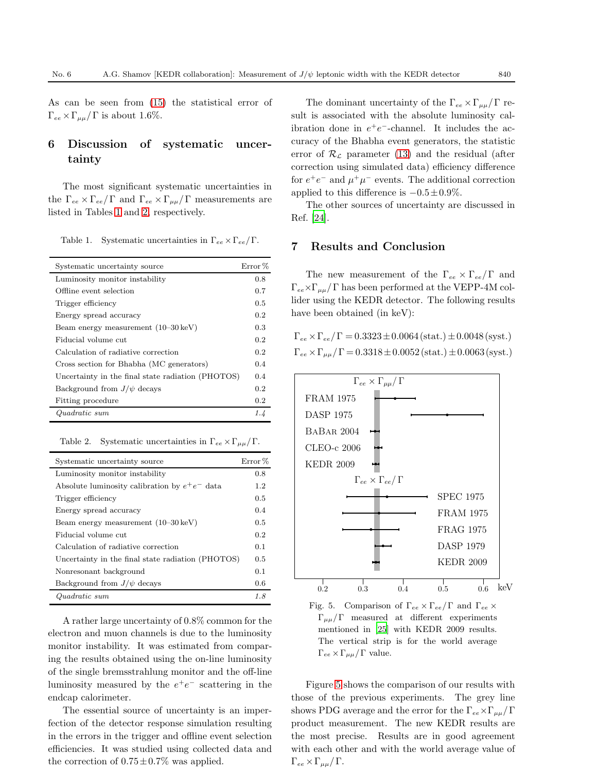As can be seen from [\(15\)](#page-3-4) the statistical error of  $\Gamma_{ee} \times \Gamma_{\mu\mu}/\Gamma$  is about 1.6%.

# 6 Discussion of systematic uncertainty

The most significant systematic uncertainties in the  $\Gamma_{ee} \times \Gamma_{ee}/\Gamma$  and  $\Gamma_{ee} \times \Gamma_{\mu\mu}/\Gamma$  measurements are listed in Tables [1](#page-4-0) and [2,](#page-4-1) respectively.

<span id="page-4-0"></span>Table 1. Systematic uncertainties in  $\Gamma_{ee} \times \Gamma_{ee}/\Gamma$ .

| Systematic uncertainty source                     | Error <sup>%</sup> |
|---------------------------------------------------|--------------------|
| Luminosity monitor instability                    | 0.8                |
| Offline event selection                           | 0.7                |
| Trigger efficiency                                | 0.5                |
| Energy spread accuracy                            | 0.2                |
| Beam energy measurement $(10-30 \,\text{keV})$    | 0.3                |
| Fiducial volume cut                               | 0.2                |
| Calculation of radiative correction               | 0.2                |
| Cross section for Bhabha (MC generators)          | 0.4                |
| Uncertainty in the final state radiation (PHOTOS) | 0.4                |
| Background from $J/\psi$ decays                   | 0.2                |
| Fitting procedure                                 | 0.2                |
| Quadratic sum                                     | 1.4                |

<span id="page-4-1"></span>Table 2. Systematic uncertainties in  $\Gamma_{ee} \times \Gamma_{\mu\mu}/\Gamma$ .

| Systematic uncertainty source                     | Error <sup>%</sup> |
|---------------------------------------------------|--------------------|
| Luminosity monitor instability                    | 0.8                |
| Absolute luminosity calibration by $e^+e^-$ data  | 1.2                |
| Trigger efficiency                                | 0.5                |
| Energy spread accuracy                            | 0.4                |
| Beam energy measurement $(10-30 \,\text{keV})$    | 0.5                |
| Fiducial volume cut                               | 0.2                |
| Calculation of radiative correction               | 0.1                |
| Uncertainty in the final state radiation (PHOTOS) | 0.5                |
| Nonresonant background                            | 0.1                |
| Background from $J/\psi$ decays                   | 0.6                |
| Quadratic sum                                     | 1.8                |

A rather large uncertainty of 0.8% common for the electron and muon channels is due to the luminosity monitor instability. It was estimated from comparing the results obtained using the on-line luminosity of the single bremsstrahlung monitor and the off-line luminosity measured by the  $e^+e^-$  scattering in the endcap calorimeter.

The essential source of uncertainty is an imperfection of the detector response simulation resulting in the errors in the trigger and offline event selection efficiencies. It was studied using collected data and the correction of  $0.75 \pm 0.7\%$  was applied.

The dominant uncertainty of the  $\Gamma_{ee} \times \Gamma_{\mu\mu}/\Gamma$  result is associated with the absolute luminosity calibration done in  $e^+e^-$ -channel. It includes the accuracy of the Bhabha event generators, the statistic error of  $\mathcal{R}_{\mathcal{L}}$  parameter [\(13\)](#page-3-2) and the residual (after correction using simulated data) efficiency difference for  $e^+e^-$  and  $\mu^+\mu^-$  events. The additional correction applied to this difference is  $-0.5 \pm 0.9\%$ .

The other sources of uncertainty are discussed in Ref. [\[24\]](#page-5-23).

### 7 Results and Conclusion

The new measurement of the  $\Gamma_{ee} \times \Gamma_{ee}/\Gamma$  and  $\Gamma_{ee} \times \Gamma_{\mu\mu}/\Gamma$  has been performed at the VEPP-4M collider using the KEDR detector. The following results have been obtained (in keV):

 $\Gamma_{ee} \times \Gamma_{ee} / \Gamma = 0.3323 \pm 0.0064 \, (\text{stat.}) \pm 0.0048 \, (\text{syst.})$  $\Gamma_{ee} \times \Gamma_{\mu\mu}/\Gamma = 0.3318 \pm 0.0052 \, (\text{stat.}) \pm 0.0063 \, (\text{syst.})$ 



<span id="page-4-2"></span>Fig. 5. Comparison of  $\Gamma_{ee} \times \Gamma_{ee} / \Gamma$  and  $\Gamma_{ee} \times$  $\Gamma_{\mu\mu}/\Gamma$  measured at different experiments mentioned in [\[25\]](#page-5-24) with KEDR 2009 results. The vertical strip is for the world average  $Γ_{ee} \times Γ_{μμ} / Γ$  value.

Figure [5](#page-4-2) shows the comparison of our results with those of the previous experiments. The grey line shows PDG average and the error for the  $\Gamma_{ee} \times \Gamma_{\mu\mu}/\Gamma$ product measurement. The new KEDR results are the most precise. Results are in good agreement with each other and with the world average value of  $\Gamma_{ee} \times \Gamma_{\mu\mu}/\Gamma$ .